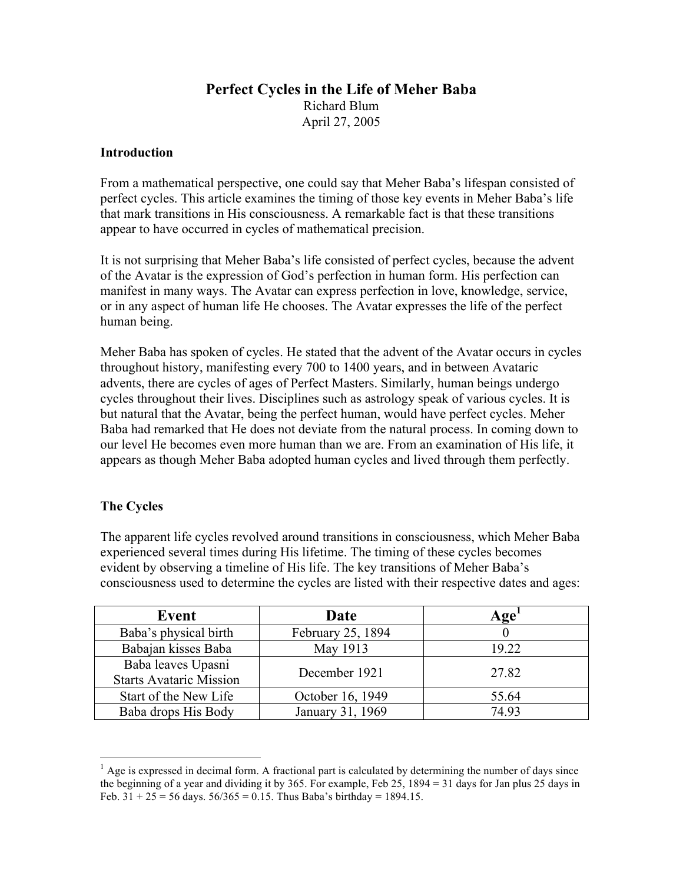# **Perfect Cycles in the Life of Meher Baba** Richard Blum April 27, 2005

#### **Introduction**

From a mathematical perspective, one could say that Meher Baba's lifespan consisted of perfect cycles. This article examines the timing of those key events in Meher Baba's life that mark transitions in His consciousness. A remarkable fact is that these transitions appear to have occurred in cycles of mathematical precision.

It is not surprising that Meher Baba's life consisted of perfect cycles, because the advent of the Avatar is the expression of God's perfection in human form. His perfection can manifest in many ways. The Avatar can express perfection in love, knowledge, service, or in any aspect of human life He chooses. The Avatar expresses the life of the perfect human being.

Meher Baba has spoken of cycles. He stated that the advent of the Avatar occurs in cycles throughout history, manifesting every 700 to 1400 years, and in between Avataric advents, there are cycles of ages of Perfect Masters. Similarly, human beings undergo cycles throughout their lives. Disciplines such as astrology speak of various cycles. It is but natural that the Avatar, being the perfect human, would have perfect cycles. Meher Baba had remarked that He does not deviate from the natural process. In coming down to our level He becomes even more human than we are. From an examination of His life, it appears as though Meher Baba adopted human cycles and lived through them perfectly.

## **The Cycles**

The apparent life cycles revolved around transitions in consciousness, which Meher Baba experienced several times during His lifetime. The timing of these cycles becomes evident by observing a timeline of His life. The key transitions of Meher Baba's consciousness used to determine the cycles are listed with their respective dates and ages:

| Event                          | Date              | Age <sup>'</sup> |
|--------------------------------|-------------------|------------------|
| Baba's physical birth          | February 25, 1894 |                  |
| Babajan kisses Baba            | May 1913          | 19.22            |
| Baba leaves Upasni             | December 1921     | 27.82            |
| <b>Starts Avataric Mission</b> |                   |                  |
| Start of the New Life          | October 16, 1949  | 55.64            |
| Baba drops His Body            | January 31, 1969  | 74.93            |

 $<sup>1</sup>$  Age is expressed in decimal form. A fractional part is calculated by determining the number of days since</sup> the beginning of a year and dividing it by 365. For example, Feb 25, 1894 = 31 days for Jan plus 25 days in Feb.  $31 + 25 = 56$  days.  $56/365 = 0.15$ . Thus Baba's birthday = 1894.15.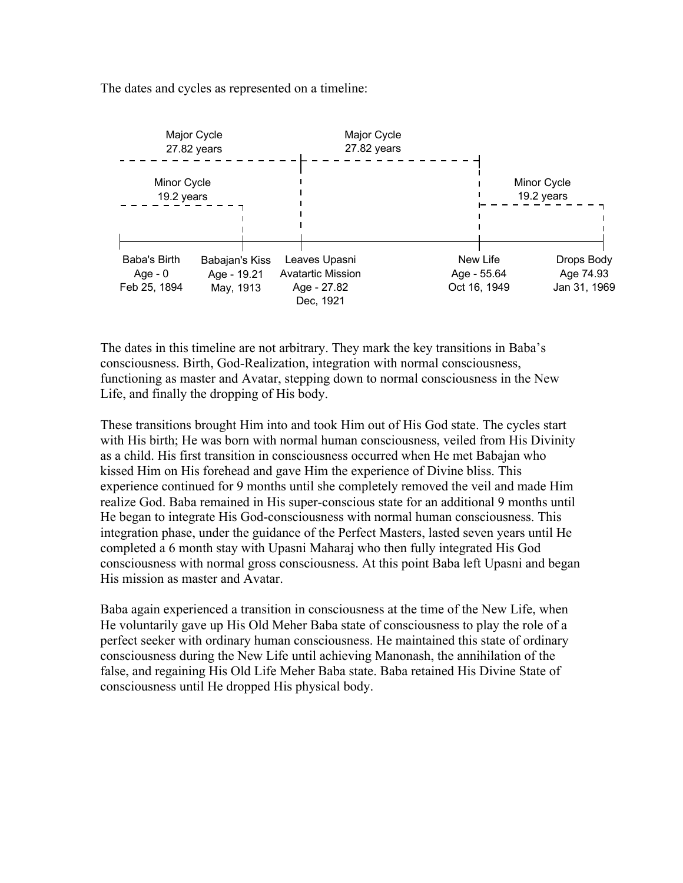The dates and cycles as represented on a timeline:



The dates in this timeline are not arbitrary. They mark the key transitions in Baba's consciousness. Birth, God-Realization, integration with normal consciousness, functioning as master and Avatar, stepping down to normal consciousness in the New Life, and finally the dropping of His body.

These transitions brought Him into and took Him out of His God state. The cycles start with His birth; He was born with normal human consciousness, veiled from His Divinity as a child. His first transition in consciousness occurred when He met Babajan who kissed Him on His forehead and gave Him the experience of Divine bliss. This experience continued for 9 months until she completely removed the veil and made Him realize God. Baba remained in His super-conscious state for an additional 9 months until He began to integrate His God-consciousness with normal human consciousness. This integration phase, under the guidance of the Perfect Masters, lasted seven years until He completed a 6 month stay with Upasni Maharaj who then fully integrated His God consciousness with normal gross consciousness. At this point Baba left Upasni and began His mission as master and Avatar.

Baba again experienced a transition in consciousness at the time of the New Life, when He voluntarily gave up His Old Meher Baba state of consciousness to play the role of a perfect seeker with ordinary human consciousness. He maintained this state of ordinary consciousness during the New Life until achieving Manonash, the annihilation of the false, and regaining His Old Life Meher Baba state. Baba retained His Divine State of consciousness until He dropped His physical body.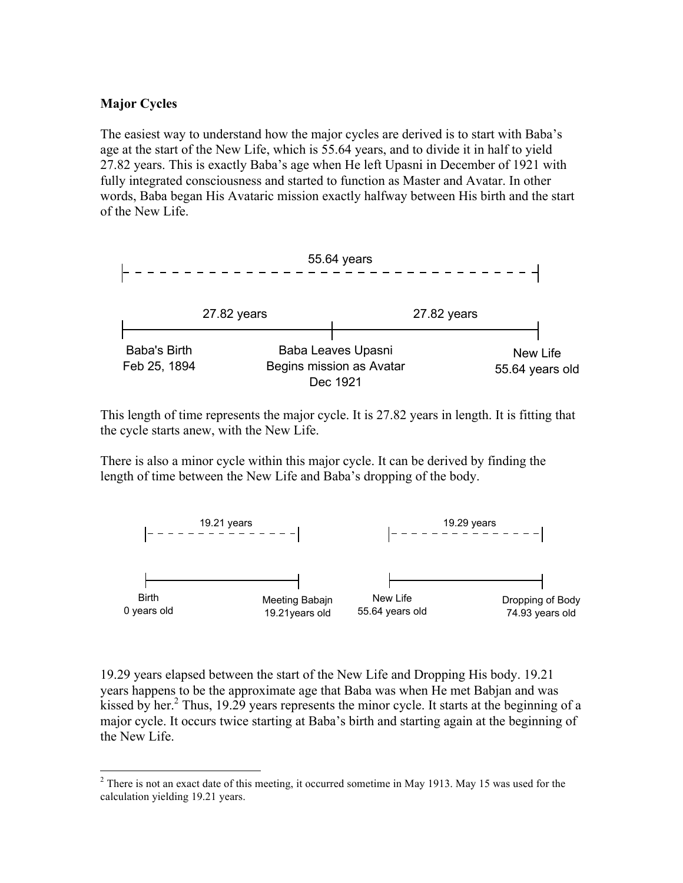#### **Major Cycles**

The easiest way to understand how the major cycles are derived is to start with Baba's age at the start of the New Life, which is 55.64 years, and to divide it in half to yield 27.82 years. This is exactly Baba's age when He left Upasni in December of 1921 with fully integrated consciousness and started to function as Master and Avatar. In other words, Baba began His Avataric mission exactly halfway between His birth and the start of the New Life.



This length of time represents the major cycle. It is 27.82 years in length. It is fitting that the cycle starts anew, with the New Life.

There is also a minor cycle within this major cycle. It can be derived by finding the length of time between the New Life and Baba's dropping of the body.



19.29 years elapsed between the start of the New Life and Dropping His body. 19.21 years happens to be the approximate age that Baba was when He met Babjan and was kissed by her.<sup>2</sup> Thus, 19.29 years represents the minor cycle. It starts at the beginning of a major cycle. It occurs twice starting at Baba's birth and starting again at the beginning of the New Life.

<sup>&</sup>lt;sup>2</sup> There is not an exact date of this meeting, it occurred sometime in May 1913. May 15 was used for the calculation yielding 19.21 years.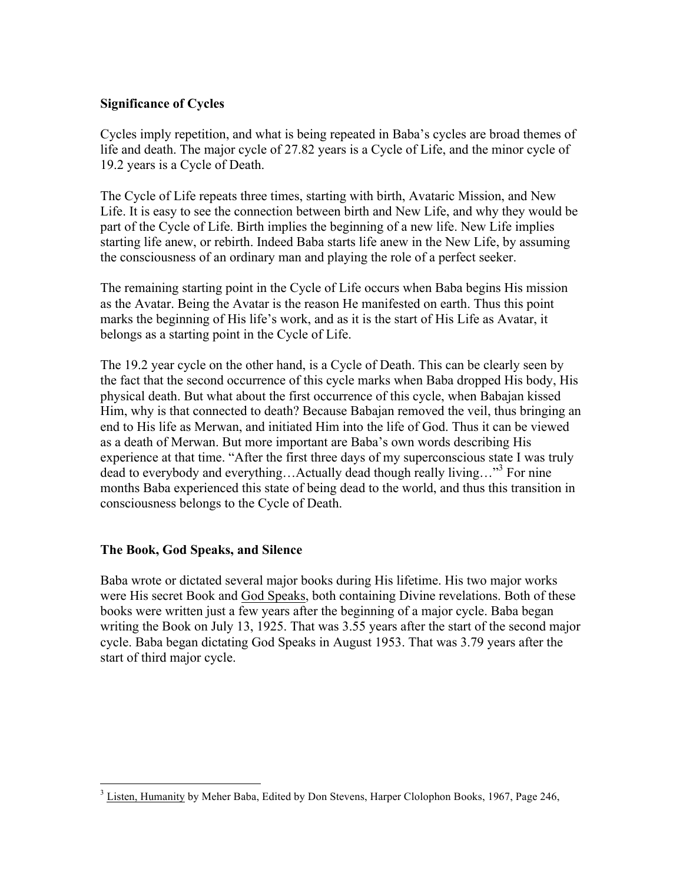## **Significance of Cycles**

Cycles imply repetition, and what is being repeated in Baba's cycles are broad themes of life and death. The major cycle of 27.82 years is a Cycle of Life, and the minor cycle of 19.2 years is a Cycle of Death.

The Cycle of Life repeats three times, starting with birth, Avataric Mission, and New Life. It is easy to see the connection between birth and New Life, and why they would be part of the Cycle of Life. Birth implies the beginning of a new life. New Life implies starting life anew, or rebirth. Indeed Baba starts life anew in the New Life, by assuming the consciousness of an ordinary man and playing the role of a perfect seeker.

The remaining starting point in the Cycle of Life occurs when Baba begins His mission as the Avatar. Being the Avatar is the reason He manifested on earth. Thus this point marks the beginning of His life's work, and as it is the start of His Life as Avatar, it belongs as a starting point in the Cycle of Life.

The 19.2 year cycle on the other hand, is a Cycle of Death. This can be clearly seen by the fact that the second occurrence of this cycle marks when Baba dropped His body, His physical death. But what about the first occurrence of this cycle, when Babajan kissed Him, why is that connected to death? Because Babajan removed the veil, thus bringing an end to His life as Merwan, and initiated Him into the life of God. Thus it can be viewed as a death of Merwan. But more important are Baba's own words describing His experience at that time. "After the first three days of my superconscious state I was truly dead to everybody and everything…Actually dead though really living…"3 For nine months Baba experienced this state of being dead to the world, and thus this transition in consciousness belongs to the Cycle of Death.

## **The Book, God Speaks, and Silence**

Baba wrote or dictated several major books during His lifetime. His two major works were His secret Book and God Speaks, both containing Divine revelations. Both of these books were written just a few years after the beginning of a major cycle. Baba began writing the Book on July 13, 1925. That was 3.55 years after the start of the second major cycle. Baba began dictating God Speaks in August 1953. That was 3.79 years after the start of third major cycle.

<sup>&</sup>lt;sup>3</sup> Listen, Humanity by Meher Baba, Edited by Don Stevens, Harper Clolophon Books, 1967, Page 246,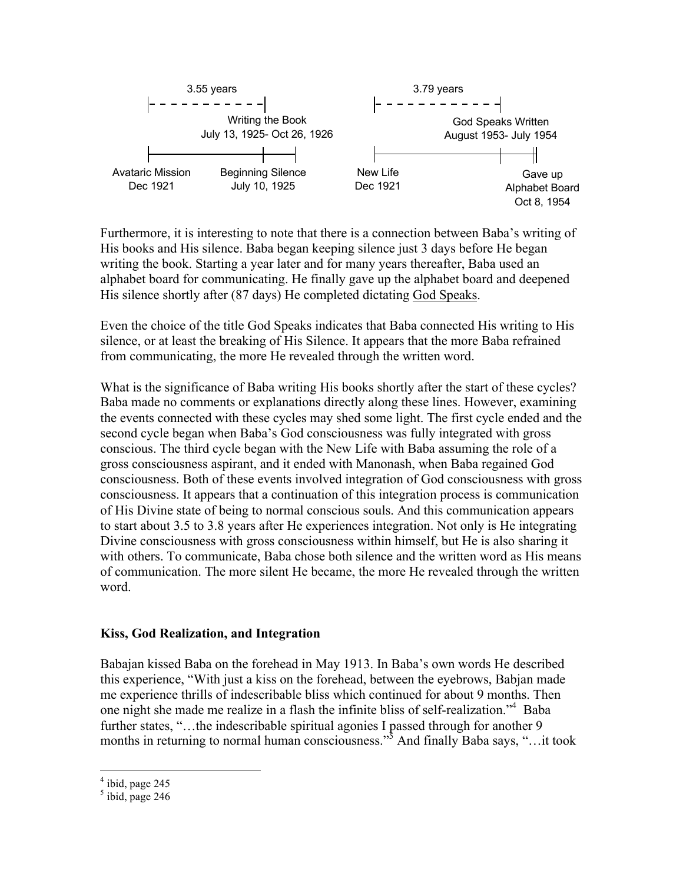

Furthermore, it is interesting to note that there is a connection between Baba's writing of His books and His silence. Baba began keeping silence just 3 days before He began writing the book. Starting a year later and for many years thereafter, Baba used an alphabet board for communicating. He finally gave up the alphabet board and deepened His silence shortly after (87 days) He completed dictating God Speaks.

Even the choice of the title God Speaks indicates that Baba connected His writing to His silence, or at least the breaking of His Silence. It appears that the more Baba refrained from communicating, the more He revealed through the written word.

What is the significance of Baba writing His books shortly after the start of these cycles? Baba made no comments or explanations directly along these lines. However, examining the events connected with these cycles may shed some light. The first cycle ended and the second cycle began when Baba's God consciousness was fully integrated with gross conscious. The third cycle began with the New Life with Baba assuming the role of a gross consciousness aspirant, and it ended with Manonash, when Baba regained God consciousness. Both of these events involved integration of God consciousness with gross consciousness. It appears that a continuation of this integration process is communication of His Divine state of being to normal conscious souls. And this communication appears to start about 3.5 to 3.8 years after He experiences integration. Not only is He integrating Divine consciousness with gross consciousness within himself, but He is also sharing it with others. To communicate, Baba chose both silence and the written word as His means of communication. The more silent He became, the more He revealed through the written word.

#### **Kiss, God Realization, and Integration**

Babajan kissed Baba on the forehead in May 1913. In Baba's own words He described this experience, "With just a kiss on the forehead, between the eyebrows, Babjan made me experience thrills of indescribable bliss which continued for about 9 months. Then one night she made me realize in a flash the infinite bliss of self-realization."4 Baba further states, "...the indescribable spiritual agonies I passed through for another 9 months in returning to normal human consciousness."<sup>5</sup> And finally Baba says, "...it took

 $<sup>4</sup>$  ibid, page 245</sup>

 $<sup>5</sup>$  ibid, page 246</sup>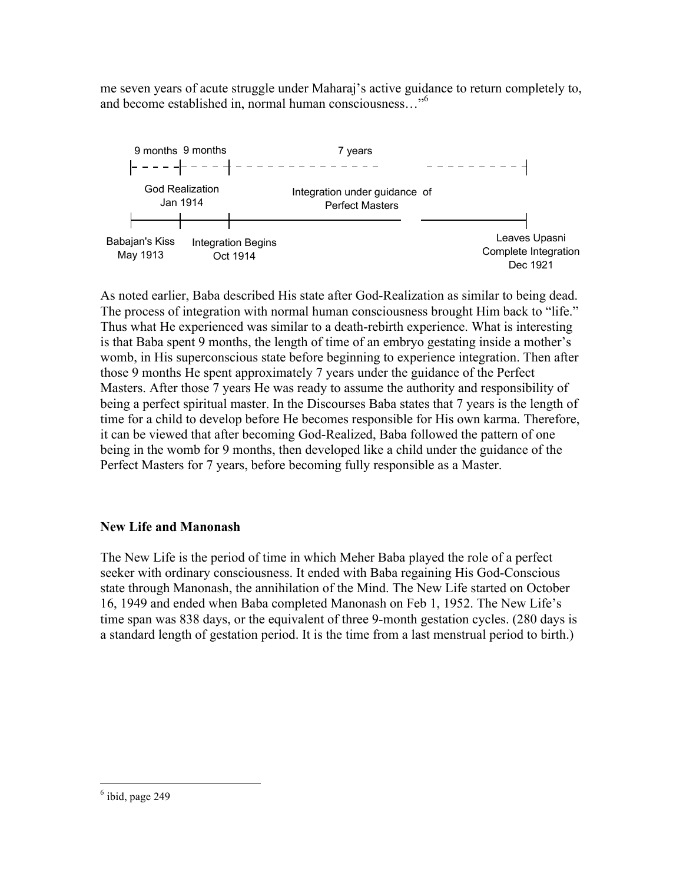me seven years of acute struggle under Maharaj's active guidance to return completely to, and become established in, normal human consciousness…"6



As noted earlier, Baba described His state after God-Realization as similar to being dead. The process of integration with normal human consciousness brought Him back to "life." Thus what He experienced was similar to a death-rebirth experience. What is interesting is that Baba spent 9 months, the length of time of an embryo gestating inside a mother's womb, in His superconscious state before beginning to experience integration. Then after those 9 months He spent approximately 7 years under the guidance of the Perfect Masters. After those 7 years He was ready to assume the authority and responsibility of being a perfect spiritual master. In the Discourses Baba states that 7 years is the length of time for a child to develop before He becomes responsible for His own karma. Therefore, it can be viewed that after becoming God-Realized, Baba followed the pattern of one being in the womb for 9 months, then developed like a child under the guidance of the Perfect Masters for 7 years, before becoming fully responsible as a Master.

# **New Life and Manonash**

The New Life is the period of time in which Meher Baba played the role of a perfect seeker with ordinary consciousness. It ended with Baba regaining His God-Conscious state through Manonash, the annihilation of the Mind. The New Life started on October 16, 1949 and ended when Baba completed Manonash on Feb 1, 1952. The New Life's time span was 838 days, or the equivalent of three 9-month gestation cycles. (280 days is a standard length of gestation period. It is the time from a last menstrual period to birth.)

 $<sup>6</sup>$  ibid, page 249</sup>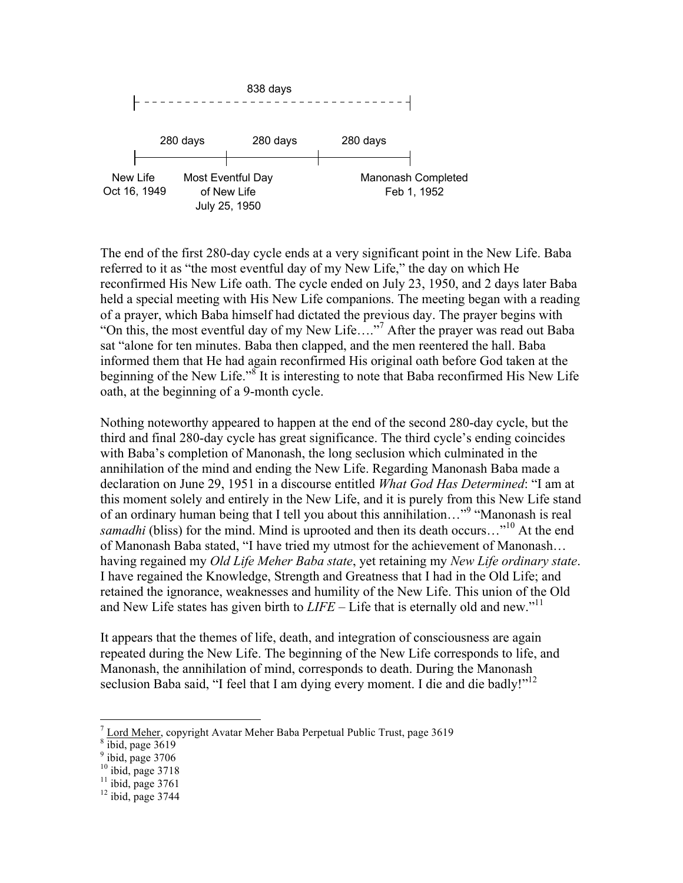

The end of the first 280-day cycle ends at a very significant point in the New Life. Baba referred to it as "the most eventful day of my New Life," the day on which He reconfirmed His New Life oath. The cycle ended on July 23, 1950, and 2 days later Baba held a special meeting with His New Life companions. The meeting began with a reading of a prayer, which Baba himself had dictated the previous day. The prayer begins with "On this, the most eventful day of my New Life…."<sup>7</sup> After the prayer was read out Baba sat "alone for ten minutes. Baba then clapped, and the men reentered the hall. Baba informed them that He had again reconfirmed His original oath before God taken at the beginning of the New Life."<sup>8</sup> It is interesting to note that Baba reconfirmed His New Life oath, at the beginning of a 9-month cycle.

Nothing noteworthy appeared to happen at the end of the second 280-day cycle, but the third and final 280-day cycle has great significance. The third cycle's ending coincides with Baba's completion of Manonash, the long seclusion which culminated in the annihilation of the mind and ending the New Life. Regarding Manonash Baba made a declaration on June 29, 1951 in a discourse entitled *What God Has Determined*: "I am at this moment solely and entirely in the New Life, and it is purely from this New Life stand of an ordinary human being that I tell you about this annihilation..."<sup>9</sup> "Manonash is real *samadhi* (bliss) for the mind. Mind is uprooted and then its death occurs...<sup>10</sup> At the end of Manonash Baba stated, "I have tried my utmost for the achievement of Manonash… having regained my *Old Life Meher Baba state*, yet retaining my *New Life ordinary state*. I have regained the Knowledge, Strength and Greatness that I had in the Old Life; and retained the ignorance, weaknesses and humility of the New Life. This union of the Old and New Life states has given birth to  $LIFE - Life$  that is eternally old and new.<sup>"11</sup>

It appears that the themes of life, death, and integration of consciousness are again repeated during the New Life. The beginning of the New Life corresponds to life, and Manonash, the annihilation of mind, corresponds to death. During the Manonash seclusion Baba said, "I feel that I am dying every moment. I die and die badly!"<sup>12</sup>

 $\frac{7}{8}$  Lord Meher, copyright Avatar Meher Baba Perpetual Public Trust, page 3619<br>  $\frac{9}{8}$  ibid, page 3706<br>
9 ibid, page 3706

<sup>&</sup>lt;sup>10</sup> ibid, page 3718<br><sup>11</sup> ibid, page 3761<br><sup>12</sup> ibid, page 3744